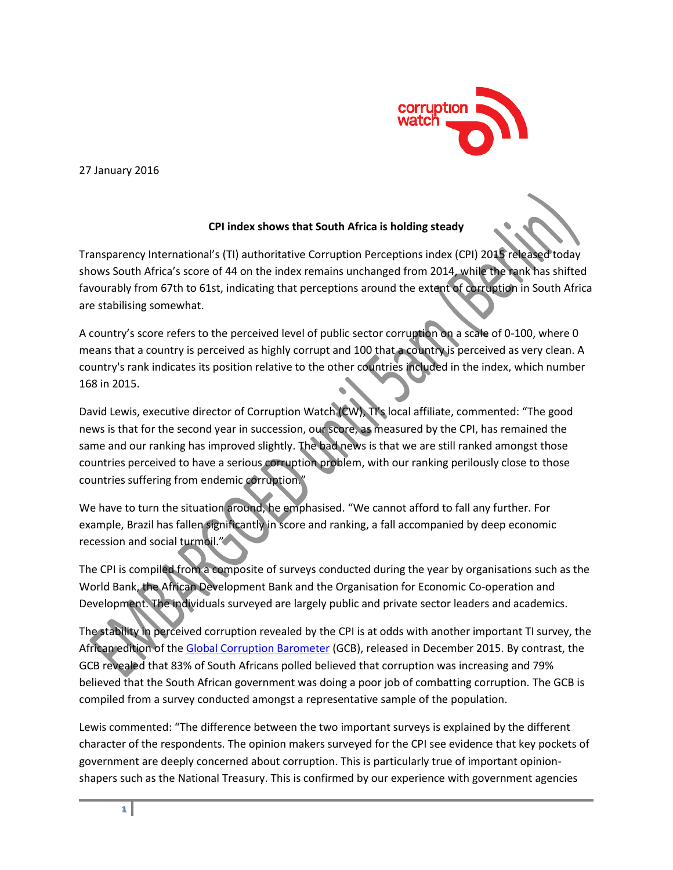

27 January 2016

## **CPI index shows that South Africa is holding steady**

Transparency International's (TI) authoritative Corruption Perceptions index (CPI) 2015 released today shows South Africa's score of 44 on the index remains unchanged from 2014, while the rank has shifted favourably from 67th to 61st, indicating that perceptions around the extent of corruption in South Africa are stabilising somewhat.

A country's score refers to the perceived level of public sector corruption on a scale of 0-100, where 0 means that a country is perceived as highly corrupt and 100 that a country is perceived as very clean. A country's rank indicates its position relative to the other countries included in the index, which number 168 in 2015.

David Lewis, executive director of Corruption Watch (CW), TI's local affiliate, commented: "The good news is that for the second year in succession, our score, as measured by the CPI, has remained the same and our ranking has improved slightly. The bad news is that we are still ranked amongst those countries perceived to have a serious corruption problem, with our ranking perilously close to those countries suffering from endemic corruption."

We have to turn the situation around, he emphasised. "We cannot afford to fall any further. For example, Brazil has fallen significantly in score and ranking, a fall accompanied by deep economic recession and social turmoil."

The CPI is compiled from a composite of surveys conducted during the year by organisations such as the World Bank, the African Development Bank and the Organisation for Economic Co-operation and Development. The individuals surveyed are largely public and private sector leaders and academics.

The stability in perceived corruption revealed by the CPI is at odds with another important TI survey, the African edition of th[e Global Corruption Barometer](http://www.corruptionwatch.org.za/sa-disappoints-in-new-africa-corruption-survey/) (GCB), released in December 2015. By contrast, the GCB revealed that 83% of South Africans polled believed that corruption was increasing and 79% believed that the South African government was doing a poor job of combatting corruption. The GCB is compiled from a survey conducted amongst a representative sample of the population.

Lewis commented: "The difference between the two important surveys is explained by the different character of the respondents. The opinion makers surveyed for the CPI see evidence that key pockets of government are deeply concerned about corruption. This is particularly true of important opinionshapers such as the National Treasury. This is confirmed by our experience with government agencies